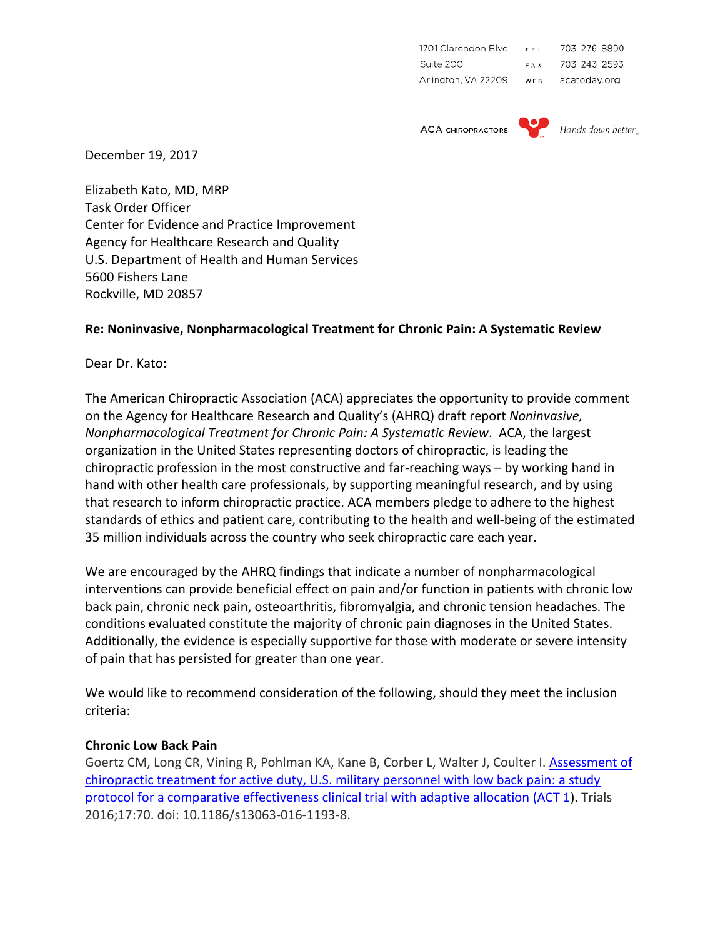| 1701 Clarendon Blvd | TEL | 703 276 8800 |
|---------------------|-----|--------------|
| Suite 200           | FAX | 703 243 2593 |
| Arlington, VA 22209 | WEB | acatoday.org |

**ACA CHIROPRACTORS** 



December 19, 2017

Elizabeth Kato, MD, MRP Task Order Officer Center for Evidence and Practice Improvement Agency for Healthcare Research and Quality U.S. Department of Health and Human Services 5600 Fishers Lane Rockville, MD 20857

## **Re: Noninvasive, Nonpharmacological Treatment for Chronic Pain: A Systematic Review**

Dear Dr. Kato:

The American Chiropractic Association (ACA) appreciates the opportunity to provide comment on the Agency for Healthcare Research and Quality's (AHRQ) draft report *Noninvasive, Nonpharmacological Treatment for Chronic Pain: A Systematic Review*. ACA, the largest organization in the United States representing doctors of chiropractic, is leading the chiropractic profession in the most constructive and far-reaching ways – by working hand in hand with other health care professionals, by supporting meaningful research, and by using that research to inform chiropractic practice. ACA members pledge to adhere to the highest standards of ethics and patient care, contributing to the health and well-being of the estimated 35 million individuals across the country who seek chiropractic care each year.

We are encouraged by the AHRQ findings that indicate a number of nonpharmacological interventions can provide beneficial effect on pain and/or function in patients with chronic low back pain, chronic neck pain, osteoarthritis, fibromyalgia, and chronic tension headaches. The conditions evaluated constitute the majority of chronic pain diagnoses in the United States. Additionally, the evidence is especially supportive for those with moderate or severe intensity of pain that has persisted for greater than one year.

We would like to recommend consideration of the following, should they meet the inclusion criteria:

## **Chronic Low Back Pain**

Goertz CM, Long CR, Vining R, Pohlman KA, Kane B, Corber L, Walter J, Coulter I. [Assessment of](http://www.ncbi.nlm.nih.gov/pubmed/26857706)  [chiropractic treatment for active duty, U.S. military personnel with low back pain: a study](http://www.ncbi.nlm.nih.gov/pubmed/26857706)  [protocol for a comparative effectiveness clinical trial with adaptive allocation \(ACT 1\)](http://www.ncbi.nlm.nih.gov/pubmed/26857706). Trials 2016;17:70. doi: 10.1186/s13063-016-1193-8.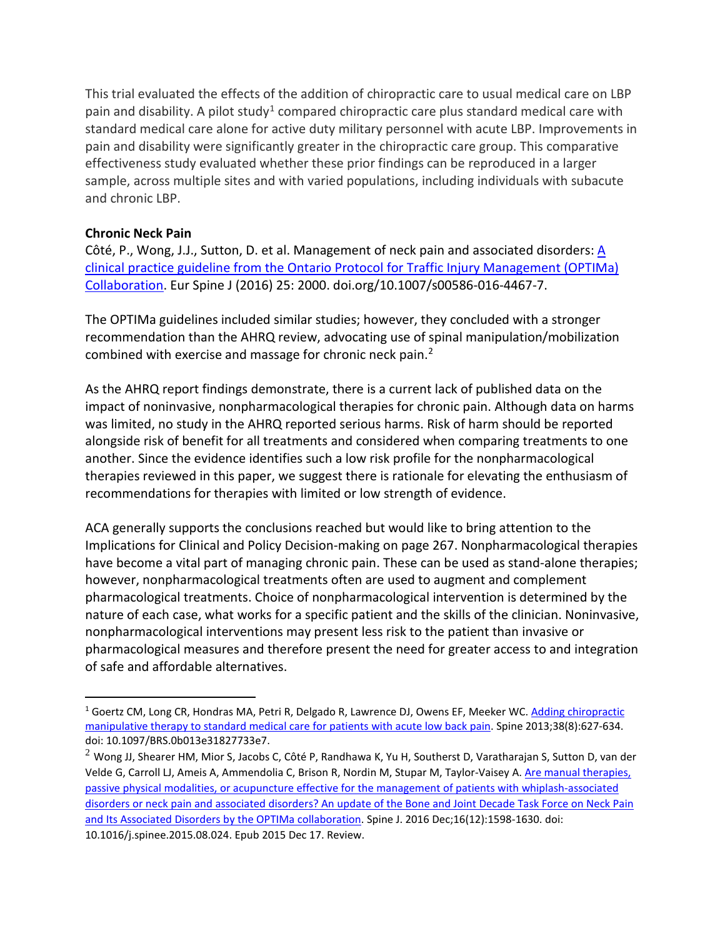This trial evaluated the effects of the addition of chiropractic care to usual medical care on LBP pain and disability. A pilot study<sup>[1](#page-1-0)</sup> compared chiropractic care plus standard medical care with standard medical care alone for active duty military personnel with acute LBP. Improvements in pain and disability were significantly greater in the chiropractic care group. This comparative effectiveness study evaluated whether these prior findings can be reproduced in a larger sample, across multiple sites and with varied populations, including individuals with subacute and chronic LBP.

## **Chronic Neck Pain**

Côté, P., Wong, J.J., Sutton, D. et al. Management of neck pain and associated disorders[: A](https://doi.org/10.1007/s00586-016-4467-7)  [clinical practice guideline from the Ontario Protocol for Traffic Injury Management \(OPTIMa\)](https://doi.org/10.1007/s00586-016-4467-7)  [Collaboration.](https://doi.org/10.1007/s00586-016-4467-7) Eur Spine J (2016) 25: 2000. doi.org/10.1007/s00586-016-4467-7.

The OPTIMa guidelines included similar studies; however, they concluded with a stronger recommendation than the AHRQ review, advocating use of spinal manipulation/mobilization combined with exercise and massage for chronic neck pain. [2](#page-1-1)

As the AHRQ report findings demonstrate, there is a current lack of published data on the impact of noninvasive, nonpharmacological therapies for chronic pain. Although data on harms was limited, no study in the AHRQ reported serious harms. Risk of harm should be reported alongside risk of benefit for all treatments and considered when comparing treatments to one another. Since the evidence identifies such a low risk profile for the nonpharmacological therapies reviewed in this paper, we suggest there is rationale for elevating the enthusiasm of recommendations for therapies with limited or low strength of evidence.

ACA generally supports the conclusions reached but would like to bring attention to the Implications for Clinical and Policy Decision-making on page 267. Nonpharmacological therapies have become a vital part of managing chronic pain. These can be used as stand-alone therapies; however, nonpharmacological treatments often are used to augment and complement pharmacological treatments. Choice of nonpharmacological intervention is determined by the nature of each case, what works for a specific patient and the skills of the clinician. Noninvasive, nonpharmacological interventions may present less risk to the patient than invasive or pharmacological measures and therefore present the need for greater access to and integration of safe and affordable alternatives.

<span id="page-1-0"></span> $1$  Goertz CM, Long CR, Hondras MA, Petri R, Delgado R, Lawrence DJ, Owens EF, Meeker WC. Adding chiropractic [manipulative therapy to standard medical care for patients with acute](http://www.ncbi.nlm.nih.gov/pubmed/23060056) low back pain. Spine 2013;38(8):627-634. doi: 10.1097/BRS.0b013e31827733e7.

<span id="page-1-1"></span> $2$  Wong JJ, Shearer HM, Mior S, Jacobs C, Côté P, Randhawa K, Yu H, Southerst D, Varatharajan S, Sutton D, van der Velde G, Carroll LJ, Ameis A, Ammendolia C, Brison R, Nordin M, Stupar M, Taylor-Vaisey A. [Are manual therapies,](https://www.ncbi.nlm.nih.gov/pubmed/26707074)  [passive physical modalities, or acupuncture effective for the management of patients with whiplash-associated](https://www.ncbi.nlm.nih.gov/pubmed/26707074)  [disorders or neck pain and associated disorders? An update of the Bone and Joint Decade Task Force on Neck Pain](https://www.ncbi.nlm.nih.gov/pubmed/26707074)  [and Its Associated Disorders by the OPTIMa collaboration.](https://www.ncbi.nlm.nih.gov/pubmed/26707074) Spine J. 2016 Dec;16(12):1598-1630. doi: 10.1016/j.spinee.2015.08.024. Epub 2015 Dec 17. Review.